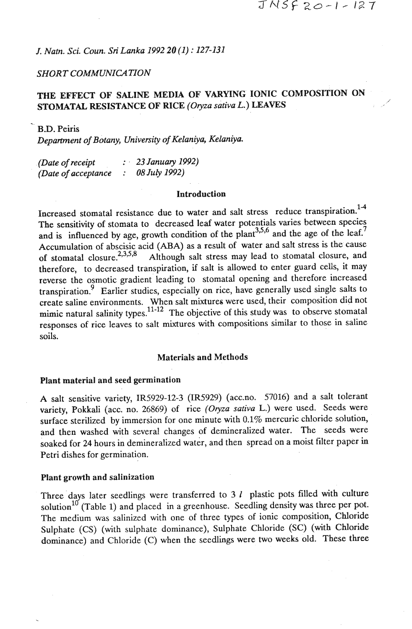*J. Natn.* **Sci.** *Coun.* **Sri** *Lanka 1992 20 (1)* : *127-131* 

#### **SHORT COMMUNICATION**

## THE EFFECT OF SALINE MEDIA OF VARYING IONIC COMPOSITION ON STOMATAL RESISTANCE OF RICE (Oryza sativa L.) LEAVES

B.D. Peiris *Department of Botany, University of Kelaniya, Kelaniya.* 

| (Date of receipt)   | $\therefore$ 23 January 1992) |  |
|---------------------|-------------------------------|--|
| (Date of acceptance | 08 July 1992)                 |  |

#### Introduction

Increased stomatal resistance due to water and salt stress reduce transpiration. **1-4**  The sensitivity of stomata to decreased leaf water potentials varies between species and is influenced by age, growth condition of the plant<sup>3,5,6</sup> and the age of the leaf.<sup>7</sup> Accumulation of abscisic acid (ABA) as a result of water and salt stress is the cause of stomatal closure.<sup>2,3,5,8</sup> Although salt stress may lead to stomatal closure, and therefore, to decreased transpiration, if salt is allowed to enter guard cells, it may reverse the osmotic gradient leading to stomatal opening and therefore increased transpiration? Earlier studies, especially on rice, have generally used single salts to create saline environments. When salt mixtures were used, their composition did not mimic natural salinity types.<sup>11-12</sup> The objective of this study was to observe stomatal responses of rice leaves to salt mixtures with compositions similar to those in saline soils.

#### Materials and Methods

#### Plant material and seed germination

A salt sensitive variety, IR5929-12-3 (IR5929) (acc.no. 57016) and a salt tolerant variety, Pokkali (acc. no. 26869) of rice *(Oryza sativa L.)* were used. Seeds were surface sterilized by immersion for one minute with 0.1% mercuric chloride solution, and then washed with several changes of demineralized water. The seeds were soaked for 24 hours in demineralized water, and then spread on a moist filter paper in Petri dishes for germination.

#### Plant growth and salinization

Three days later seedlings were transferred to  $3 l$  plastic pots filled with culture solution<sup>10</sup> (Table 1) and placed in a greenhouse. Seedling density was three per pot. The medium was salinized with one of three types of ionic composition, Chloride Sulphate (CS) (with sulphate dominance), Sulphate Chloride (SC) (with Chloride dominance) and Chloride (C) when the seedlings were two weeks old. These three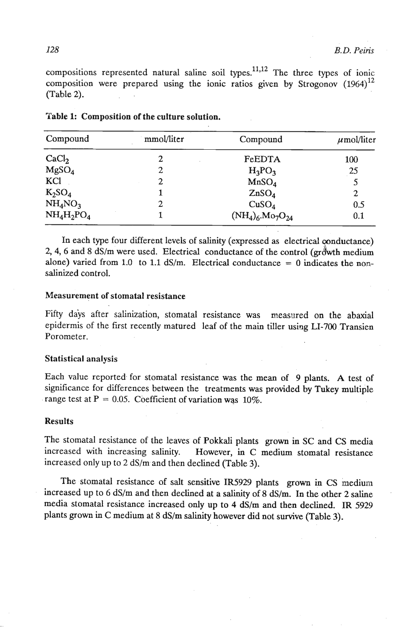compositions represented natural saline soil types.<sup>11,12</sup> The three types of ionic compositions represented matrix same son types. The time types of folio (Table 2).

| Compound                        | mmol/liter | Compound              | $\mu$ mol/liter |
|---------------------------------|------------|-----------------------|-----------------|
| CaCl <sub>2</sub>               | 2          | FeEDTA                | 100             |
| MgSO <sub>4</sub>               | 2          | $H_3PO_3$             | 25              |
| KCl                             | 2          | MnSO <sub>4</sub>     |                 |
| $K_2SO_4$                       |            | ZnSO <sub>4</sub>     | $\mathbf{2}$    |
| NH <sub>4</sub> NO <sub>3</sub> | 2          | CuSO <sub>4</sub>     | 0.5             |
| $NH_4H_2PO_4$                   |            | $(NH_4)_6.Mo_7O_{24}$ | 0.1             |

Table 1: Composition of the culture solution.

In each type four different levels of salinity (expressed as electrical conductance) **2,4,6** and 8 dS/m were used. Electrical conductance of the control (grdwth medium alone) varied from 1.0 to 1.1  $dS/m$ . Electrical conductance = 0 indicates the nonsalinized control.

#### Measurement of stomatal resistance

Fifty days after salinization, stomatal resistance was measured on the abaxial epidermis of the first recently matured leaf of the main tiller using LI-700 Transien Porometer.

#### Statistical analysis

Each value reported for stomatal resistance was the mean of 9 plants. A test of significance for differences between the treatments was provided by Tukey multiple range test at  $P = 0.05$ . Coefficient of variation was 10%.

#### Results

The stornatal resistance of the leaves of Pokkali plants grown in SC and **CS** media increased with increasing salinity. However, in C medium stomatal resistance increased only up to 2 dS/m and then declined (Table 3).

The stomatal resistance of salt sensitive IR5929 plants grown in CS medium increased up to 6 dS/m and then declined at a salinity of 8 dS/m. In the other 2 saline media stomatal resistance increased only up to 4 dS/m and then declined. **IR** 5929 plants grown in **C** medium at **8** dS/m salinity however did not survive (Table 3).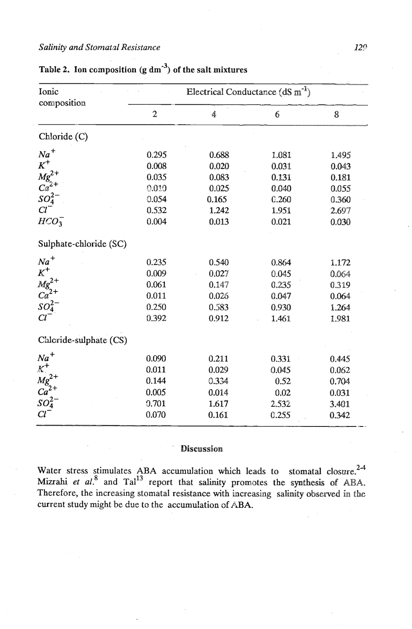### *Salinity and Stomatal Resistance* 129

| Ionic<br>composition                                                       | Electrical Conductance $(dS \, m^{-1})$ |       |       |       |
|----------------------------------------------------------------------------|-----------------------------------------|-------|-------|-------|
|                                                                            | $\overline{c}$                          | 4     | 6     | 8     |
| Chloride (C)                                                               |                                         |       |       |       |
| $Na+$<br>$K+$<br>$Mg2+$<br>$Ca2+$<br>$SO2-$<br>$Cl-$                       | 0.295                                   | 0.688 | 1.081 | 1.495 |
|                                                                            | 0.008                                   | 0.020 | 0.031 | 0.043 |
|                                                                            | 0.035                                   | 0.083 | 0.131 | 0.181 |
|                                                                            | 0.010                                   | 0.025 | 0.040 | 0.055 |
|                                                                            | 0.054                                   | 0.165 | 0.260 | 0.360 |
|                                                                            | 0.532                                   | 1,242 | 1.951 | 2.697 |
| $HCO_3^-$                                                                  | 0.004                                   | 0.013 | 0.021 | 0.030 |
| Sulphate-chloride (SC)                                                     |                                         |       |       |       |
|                                                                            | 0.235                                   | 0.540 | 0.864 | 1.172 |
| $Na^{+}$<br>$K^{+}$<br>$Mg^{2+}$<br>$Ca^{2+}$<br>$SO_{4}^{2-}$<br>$Cl^{-}$ | 0.009                                   | 0.027 | 0.045 | 0.064 |
|                                                                            | 0.061                                   | 0.147 | 0.235 | 0.319 |
|                                                                            | 0.011                                   | 0.026 | 0.047 | 0.064 |
|                                                                            | 0.250                                   | 0.583 | 0.930 | 1.264 |
|                                                                            | 0.392                                   | 0.912 | 1.461 | 1.981 |
| Chloride-sulphate (CS)                                                     |                                         |       |       |       |
| $Na+$<br>$Mg2+$<br>$Ca2+$<br>$SO2-$<br>$SO2-$                              | 0.090                                   | 0.211 | 0.331 | 0.445 |
|                                                                            | 0.011                                   | 0.029 | 0.045 | 0.062 |
|                                                                            | 0.144                                   | 0.334 | 0.52  | 0.704 |
|                                                                            | 0.005                                   | 0.014 | 0.02  | 0.031 |
|                                                                            | 0.701                                   | 1.617 | 2.532 | 3.401 |
| $Cl^{\dagger}$                                                             | 0.070                                   | 0.161 | 0.255 | 0.342 |

# Table 2. Ion composition  $(g \, dm^{-3})$  of the salt mixtures

# Discussion

Water stress stimulates ABA accumulation which leads to stomatal closure.<sup>2-4</sup> Mizrahi *et al.*<sup>8</sup> and Tal<sup>13</sup> report that salinity promotes the synthesis of ABA. Therefore, the increasing stomatal resistance with increasing salinity observed in the current study might be **dus** to the accumulation of **ABA.**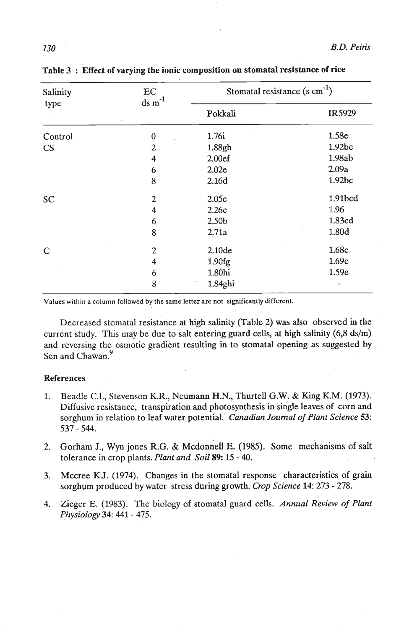| Salinity<br>type | EC<br>$ds \, m^{-1}$ | Stomatal resistance $(s \text{ cm}^{-1})$ |         |  |
|------------------|----------------------|-------------------------------------------|---------|--|
|                  |                      | Pokkali                                   | IR5929  |  |
| Control          | $\boldsymbol{0}$     | 1.76i                                     | 1.58e   |  |
| CS               | $\overline{c}$       | 1.88gh                                    | 1.92bc  |  |
|                  | 4                    | 2.00ef                                    | 1.98ab  |  |
|                  | 6                    | 2.02e                                     | 2.09a   |  |
|                  | 8                    | 2.16d                                     | 1.92bc  |  |
| <b>SC</b>        | 2                    | 2.05e                                     | 1.91bcd |  |
|                  | 4                    | 2.26c                                     | 1.96    |  |
|                  | 6                    | 2.50b                                     | 1.83cd  |  |
|                  | 8                    | 2.71a                                     | 1.80d   |  |
| $\mathsf{C}$     | $\overline{c}$       | 2.10de                                    | 1.68e   |  |
|                  | 4                    | 1.90fg                                    | 1.69e   |  |
|                  | 6                    | 1.80hi                                    | 1.59e   |  |
|                  | 8                    | 1.84ghi                                   |         |  |

Table 3 : Effect of varying the ionic composition on stomatal resistance of rice

**Values within a column followed by the same letter are not significantly different.** 

Decreased stomatal resistance at high salinity (Table **2)** was also observed in the current study. This may be due to salt entering guard cells, at high salinity  $(6,8 \text{ ds/m})$ and reversing the osmotic gradient resulting in to stomatal opening as suggested by Sen and Chawan.<sup>9</sup>

#### References

- **1.** Beadle **C.I.,** Stevenson K.R., Neumann H.N., Thurtell G.W. & King **K.M. (1973).**  Diffusive resistance, transpiration and photosynthesis in single leaves of corn and sorghum in relation to leaf water potential. *Canadian Journal of Plant Science 53:*  **537** - **544.**
- 2. Gorham J., Wyn jones R.G. & Mcdonnell E. (1985). Some mechanisms of salt tolerance in crop plants. *Plant and Soil 89: 15* - **40.**
- **3.** Mccree K.J. **(1974).** Changes in the stomatal response characteristics of grain sorghum produced by water stress during growth. *Crop Science* 14: **273** - **278.**
- **4.** Zieger E. **(1983).** The biology of stomatal guard cells. *Annual* **Review** of *Plant Phy~iology 34: 441* - **475.**